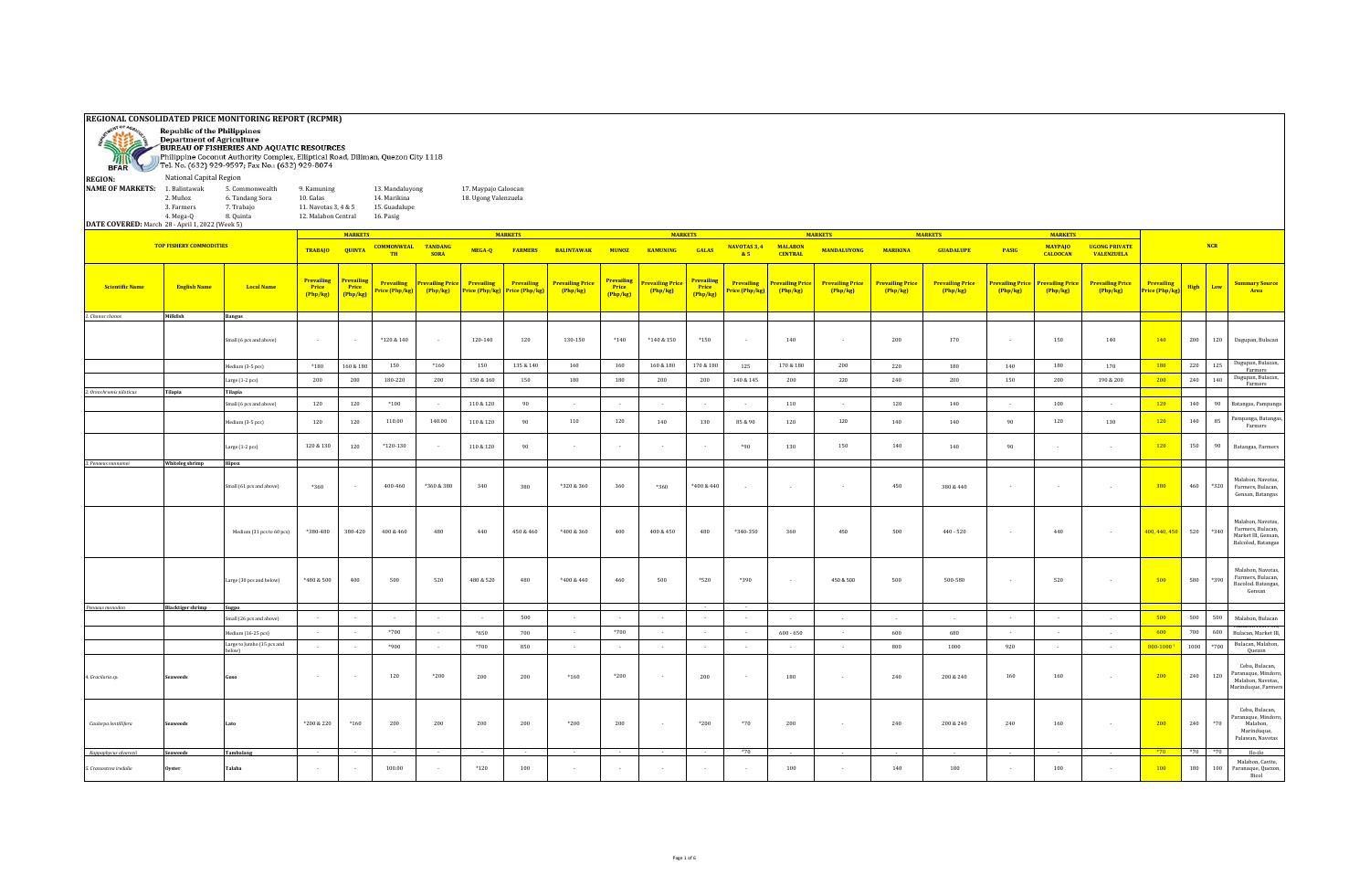| ë Si                                                                                                       | <b>REGIONAL CONSOLIDATED PRICE MONITORING REPORT (RCPMR)</b><br><b>Republic of the Philippines</b><br><b>Department of Agriculture</b><br>BUREAU OF FISHERIES AND AQUATIC RESOURCES<br>Philippine Coconut Authority Complex, Elliptical Road, Diliman, Quezon City 1118<br>BFAR Tel. No. (632) 929-9597; Fax No.: (632) 929-8074<br>National Capital Region |                                                               |                                                                         |                                        |                                                               |                           |                                              |                                     |                                     |                                        |                                           |                                               |                                    |                                           |                                   |                                   |                                   |                                  |                                           |                                           |                              |       |         |                                                                                      |
|------------------------------------------------------------------------------------------------------------|-------------------------------------------------------------------------------------------------------------------------------------------------------------------------------------------------------------------------------------------------------------------------------------------------------------------------------------------------------------|---------------------------------------------------------------|-------------------------------------------------------------------------|----------------------------------------|---------------------------------------------------------------|---------------------------|----------------------------------------------|-------------------------------------|-------------------------------------|----------------------------------------|-------------------------------------------|-----------------------------------------------|------------------------------------|-------------------------------------------|-----------------------------------|-----------------------------------|-----------------------------------|----------------------------------|-------------------------------------------|-------------------------------------------|------------------------------|-------|---------|--------------------------------------------------------------------------------------|
| <b>REGION:</b><br><b>NAME OF MARKETS:</b> 1. Balintawak<br>DATE COVERED: March 28 - April 1, 2022 (Week 5) | 2. Muñoz<br>3. Farmers<br>4. Mega-Q                                                                                                                                                                                                                                                                                                                         | 5. Commonwealth<br>6. Tandang Sora<br>7. Trabajo<br>8. Quinta | 9. Kamuning<br>10. Galas<br>11. Navotas 3, 4 & 5<br>12. Malabon Central |                                        | 13. Mandaluyong<br>14. Marikina<br>15. Guadalupe<br>16. Pasig |                           | 17. Maypajo Caloocan<br>18. Ugong Valenzuela |                                     |                                     |                                        |                                           |                                               |                                    |                                           |                                   |                                   |                                   |                                  |                                           |                                           |                              |       |         |                                                                                      |
|                                                                                                            | <b>TOP FISHERY COMMODITIES</b>                                                                                                                                                                                                                                                                                                                              |                                                               |                                                                         | <b>MARKETS</b>                         |                                                               |                           |                                              | <b>MARKETS</b>                      |                                     |                                        | <b>MARKETS</b>                            |                                               |                                    |                                           | <b>MARKETS</b>                    |                                   | <b>MARKETS</b>                    |                                  | <b>MARKETS</b>                            |                                           |                              |       |         |                                                                                      |
|                                                                                                            |                                                                                                                                                                                                                                                                                                                                                             |                                                               | <b>TRABAJO</b>                                                          | <b>QUINTA</b>                          | <b>COMMONWEAL TANDANG</b><br>TH                               | <b>SORA</b>               | MEGA-Q                                       | <b>FARMERS</b>                      | <b>BALINTAWAK</b>                   | <b>MUNOZ</b>                           | <b>KAMUNING</b>                           | GALAS                                         | NAVOTAS 3, 4<br>&5                 | <b>MALABON</b><br><b>CENTRAL</b>          | <b>MANDALUYONG</b>                | <b>MARIKINA</b>                   | <b>GUADALUPE</b>                  | PASIG                            | <b>MAYPAIO</b><br><b>CALOOCAN</b>         | <b>UGONG PRIVATE</b><br><b>VALENZUELA</b> |                              |       | NCR     |                                                                                      |
| <b>Scientific Name</b>                                                                                     | <b>English Name</b>                                                                                                                                                                                                                                                                                                                                         | <b>Local Name</b>                                             | <b>Prevailing</b><br>Price<br>(Php/kg)                                  | <b>Prevailins</b><br>Price<br>(Php/kg) | <b>Prevailing</b><br>ice (Php/kg)                             | revailing Price<br>Php/kg | <b>Prevailing</b><br>Price (Php/kg)          | <b>Prevailing</b><br>Price (Php/kg) | <b>Prevailing Price</b><br>(Php/kg) | <b>Prevailing</b><br>Price<br>(Php/kg) | <mark>Prevailing Price</mark><br>(Php/kg) | <b>Prevailing</b><br><b>Price</b><br>(Php/kg) | <b>Prevailing</b><br>rice (Php/kg) | <mark>Prevailing Price</mark><br>(Php/kg) | <b>Prevailing Price</b><br>Php/kg | <b>Prevailing Price</b><br>Php/kg | <b>Prevailing Price</b><br>Php/kg | <b>revailing Price</b><br>Php/kg | <mark>Prevailing Price</mark><br>(Php/kg) | <b>Prevailing Price</b><br>(Php/kg)       | Prevailing<br>Price (Php/kg) | High  | Low     | <b>Summary Source</b><br>Area                                                        |
| 1. Chanos chanos                                                                                           | Milkfish                                                                                                                                                                                                                                                                                                                                                    | <b>Bangus</b>                                                 |                                                                         |                                        |                                                               |                           |                                              |                                     |                                     |                                        |                                           |                                               |                                    |                                           |                                   |                                   |                                   |                                  |                                           |                                           |                              |       |         |                                                                                      |
|                                                                                                            |                                                                                                                                                                                                                                                                                                                                                             | Small (6 pcs and above)                                       |                                                                         |                                        | $*120 & 140$                                                  | $\sim$                    | 120-140                                      | $120\,$                             | $130 - 150$                         | $^{\ast}140$                           | $*140\&150$                               | $^*150$                                       | $\cdot$                            | 140                                       | $\sim$                            | $200\,$                           | 170                               |                                  | 150                                       | 140                                       | 140                          | 200   | $120\,$ | Dagupan, Bulacan                                                                     |
|                                                                                                            |                                                                                                                                                                                                                                                                                                                                                             | Medium (3-5 pcs)                                              | $*180$                                                                  | 160 & 180                              | 150                                                           | $*160$                    | 150                                          | 135 & 140                           | 160                                 | 160                                    | 160 & 180                                 | 170 & 180                                     | 125                                | 170 & 180                                 | 200                               | 220                               | 180                               | 140                              | 180                                       | 170                                       | 180                          | 220   | 125     | Dagupan, Bulacan,<br>Farmers                                                         |
|                                                                                                            |                                                                                                                                                                                                                                                                                                                                                             | Large (1-2 pcs)                                               | 200                                                                     | 200                                    | 180-220                                                       | 200                       | 150 & 160                                    | 150                                 | 180                                 | 180                                    | 200                                       | 200                                           | 140 & 145                          | 200                                       | 220                               | 240                               | 200                               | 150                              | 200                                       | 190 & 200                                 | 200                          | 240   | 140     | Dagupan, Bulacan,<br>Farmers                                                         |
| 2. Oreochromis niloticus                                                                                   | Tilapia                                                                                                                                                                                                                                                                                                                                                     | Tilapia                                                       |                                                                         |                                        |                                                               |                           |                                              |                                     |                                     |                                        |                                           |                                               |                                    |                                           |                                   |                                   |                                   |                                  |                                           |                                           |                              |       |         |                                                                                      |
|                                                                                                            |                                                                                                                                                                                                                                                                                                                                                             | mall (6 pcs and above)                                        | 120                                                                     | 120                                    | $*100$                                                        | $\sim 10^{-1}$            | 110 & 120                                    | 90                                  | $\sim$                              | $\sim$                                 | $\sim$                                    | $\sim$                                        | $\sim 10^{-1}$                     | 110                                       | $\sim$                            | 120                               | 140                               | $\sim$                           | 100                                       | $\sim$                                    | 120                          | 140   | 90      | Batangas, Pampanga                                                                   |
|                                                                                                            |                                                                                                                                                                                                                                                                                                                                                             | dedium (3-5 pcs)                                              | 120                                                                     | 120                                    | 110.00                                                        | 140.00                    | 110 & 120                                    | 90                                  | 110                                 | 120                                    | 140                                       | 130                                           | 85 & 90                            | 120                                       | 120                               | 140                               | 140                               | 90                               | 120                                       | 130                                       | 120                          | 140   | 85      | ampanga, Batangas,<br>Farmers                                                        |
|                                                                                                            |                                                                                                                                                                                                                                                                                                                                                             | Large (1-2 pcs)                                               | 120 & 130                                                               | 120                                    | $*120-130$                                                    | $\sim$                    | 110 & 120                                    | 90                                  |                                     | - 11                                   |                                           |                                               | $*90$                              | 130                                       | 150                               | 140                               | 140                               | 90                               |                                           |                                           | 120                          | 150   | 90      | Batangas, Farmers                                                                    |
| 3. Penaeus vannamei                                                                                        | Whiteleg shrimp                                                                                                                                                                                                                                                                                                                                             | Hipon                                                         |                                                                         |                                        |                                                               |                           |                                              |                                     |                                     |                                        |                                           |                                               |                                    |                                           |                                   |                                   |                                   |                                  |                                           |                                           |                              |       |         |                                                                                      |
|                                                                                                            |                                                                                                                                                                                                                                                                                                                                                             | Small (61 pcs and above)                                      | $^*360$                                                                 |                                        | 400-460                                                       | *360 & 380                | 340                                          | 380                                 | *320 & 360                          | 360                                    | *360                                      | *400 & 440                                    | $\sim$                             | $\sim$                                    |                                   | 450                               | 380 & 440                         |                                  |                                           |                                           | 380                          | 460   | *320    | Malabon, Navotas,<br>Farmers, Bulacan,<br>Gensan, Batangas                           |
|                                                                                                            |                                                                                                                                                                                                                                                                                                                                                             | Medium (31 pcs to 60 pcs)                                     | *380-480                                                                | 380-420                                | 400 & 460                                                     | 480                       | 440                                          | 450 & 460                           | *400 & 360                          | 400                                    | 400 & 450                                 | 480                                           | *340-350                           | 360                                       | 450                               | 500                               | $440 - 520$                       |                                  | 440                                       | $\sim$                                    | 400, 440, 450                | 520   | *340    | Malabon, Navotas,<br>Farmers, Bulacan.<br>Market III, Gensan,<br>Balcolod, Batangas  |
|                                                                                                            |                                                                                                                                                                                                                                                                                                                                                             | Large (30 pcs and below)                                      | *480 & 500                                                              | 400                                    | 500                                                           | 520                       | 480 & 520                                    | 480                                 | *400 & 440                          | 460                                    | 500                                       | *520                                          | *390                               | $\sim$                                    | 450 & 500                         | 500                               | 500-580                           |                                  | 520                                       | $\sim$                                    | 500                          | 580   | *390    | Malabon, Navotas<br>Farmers, Bulacan,<br>Bacolod. Batangas,<br>Gensan                |
| Penaeus monodon                                                                                            | <b>Blacktiger shrimp</b>                                                                                                                                                                                                                                                                                                                                    | Sugpo<br>small (26 pcs and above)                             | $\sim$                                                                  | $\sim$                                 | $\sim$                                                        | $\sim$                    | $\sim$                                       | 500                                 |                                     | $\sim$                                 |                                           | $\sim$                                        | $\sim$                             |                                           | $\sim$                            |                                   | $\sim$                            |                                  |                                           |                                           | 500                          | 500   | 500     | Malabon, Bulacan                                                                     |
|                                                                                                            |                                                                                                                                                                                                                                                                                                                                                             |                                                               | $\sim$                                                                  | $\sim$                                 | $*700$                                                        | $\sim$                    | $*650$                                       | 700                                 | $\sim$                              | $*700$                                 | $\sim$                                    | $\sim$                                        | $\sim$                             | $600 - 650$                               | $\sim$                            | 600                               | 680                               | $\sim$                           | $\sim$                                    | $\sim$                                    | 600                          | 700   | 600     | iaiaboli risii rort,                                                                 |
|                                                                                                            |                                                                                                                                                                                                                                                                                                                                                             | Medium (16-25 pcs)<br>Large to Jumbo (15 pcs and              | $\sim$                                                                  | $\sim$                                 | $*900$                                                        | $\sim$                    | *700                                         | 850                                 | $\sim$                              | $\sim$                                 | $\sim$                                    | $\sim$                                        | $\sim$                             |                                           | $\sim$                            | 800                               | 1000                              | 920                              | $\sim$                                    | $\sim$ $\sim$                             | 800-1000                     | 1000  | *700    | Bulacan, Market III,<br>Bulacan, Malabon,                                            |
|                                                                                                            |                                                                                                                                                                                                                                                                                                                                                             |                                                               |                                                                         |                                        |                                                               |                           |                                              |                                     |                                     |                                        |                                           |                                               |                                    | $\sim$                                    |                                   |                                   |                                   |                                  |                                           |                                           |                              |       |         | Quezon                                                                               |
| 4. Gracilaria sp.                                                                                          | aweeds                                                                                                                                                                                                                                                                                                                                                      |                                                               | $\sim$                                                                  | $\sim$                                 | 120                                                           | *200                      | 200                                          | 200                                 | $*160$                              | $*200$                                 | $\sim$                                    | 200                                           | $\sim$                             | 180                                       | $\sim$                            | 240                               | 200 & 240                         | 160                              | 160                                       | $\sim$                                    | 200                          | 240   | 120     | Cebu, Bulacan,<br>Paranaque, Mindoro<br>Malabon, Navotas,<br>Marinduque, Farmers     |
| Caulerpa lentillifera                                                                                      | aweeds                                                                                                                                                                                                                                                                                                                                                      | Lato                                                          | *200 & 220                                                              | $*160$                                 | 200                                                           | 200                       | 200                                          | 200                                 | $*200$                              | 200                                    |                                           | *200                                          | $*70$                              | 200                                       | $\sim$                            | 240                               | 200 & 240                         | 240                              | 160                                       |                                           | 200                          | 240   | $*70$   | Cebu, Bulacan,<br>Paranaque, Mindoro,<br>Malabon,<br>Marinduque,<br>Palawan, Navotas |
| Kappaphycus alvarezii                                                                                      | <b>Seaweeds</b>                                                                                                                                                                                                                                                                                                                                             | Tambalang                                                     |                                                                         |                                        |                                                               |                           |                                              |                                     |                                     |                                        |                                           |                                               | $*70$                              |                                           |                                   |                                   |                                   |                                  |                                           |                                           | $*70$                        | $*70$ | $*70$   | Ilo-ilo<br>Malabon, Cavite,                                                          |
| 5. Crassostrea iredalie                                                                                    | Ovster                                                                                                                                                                                                                                                                                                                                                      | <b>Talaba</b>                                                 | $\sim$                                                                  |                                        | 100.00                                                        | $\sim$                    | $*120$                                       | 100                                 |                                     |                                        |                                           |                                               |                                    | 100                                       |                                   | 140                               | 180                               |                                  | 100                                       |                                           | 100                          | 180   | 100     | Paranaque, Quezon,<br>Bicol                                                          |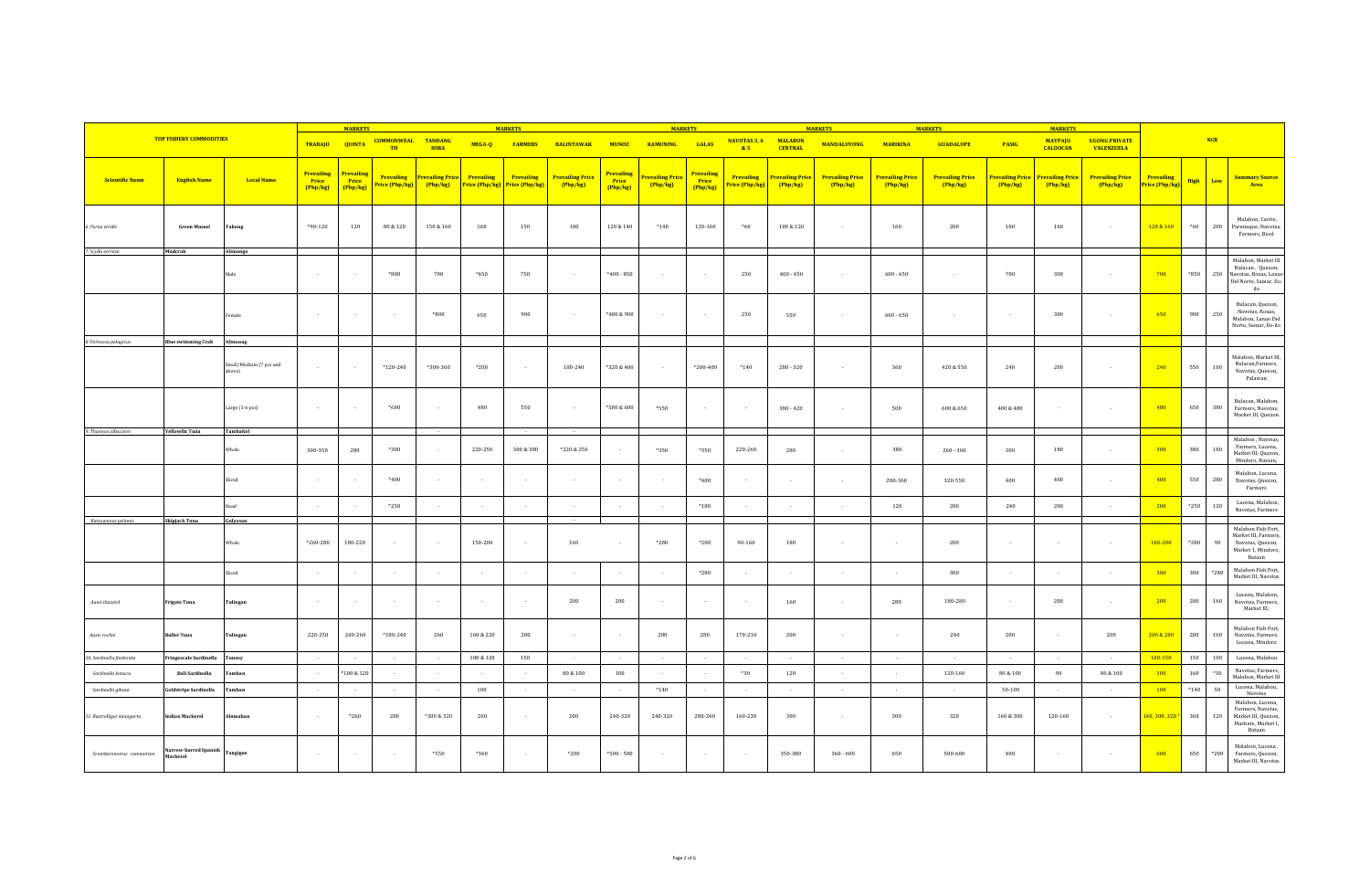|                            |                                   |                                   |                                        | <b>MARKETS</b>                         |                                     |                                   |                              | <b>MARKETS</b>               |                                     |                                        | <b>MARKETS</b>               |                                        |                             |                                     | <b>MARKETS</b>                    |                                   | <b>MARKETS</b>                    |                            | <b>MARKETS</b>                      |                                           |                                     |              |        |                                                                                                   |
|----------------------------|-----------------------------------|-----------------------------------|----------------------------------------|----------------------------------------|-------------------------------------|-----------------------------------|------------------------------|------------------------------|-------------------------------------|----------------------------------------|------------------------------|----------------------------------------|-----------------------------|-------------------------------------|-----------------------------------|-----------------------------------|-----------------------------------|----------------------------|-------------------------------------|-------------------------------------------|-------------------------------------|--------------|--------|---------------------------------------------------------------------------------------------------|
|                            | <b>TOP FISHERY COMMODITIES</b>    |                                   | <b>TRABAJO</b>                         | <b>QUINTA</b>                          | <b>COMMONWEAL TANDANG</b><br>TH     | <b>SORA</b>                       | MEGA-Q                       | <b>FARMERS</b>               | <b>BALINTAWAK</b>                   | <b>MUNOZ</b>                           | <b>KAMUNING</b>              | <b>GALAS</b>                           | NAVOTAS 3, 4<br>85          | <b>MALABON</b><br><b>CENTRAL</b>    | <b>MANDALUYONG</b>                | <b>MARIKINA</b>                   | <b>GUADALUPE</b>                  | <b>PASIG</b>               | <b>MAYPAJO</b><br><b>CALOOCAN</b>   | <b>UGONG PRIVATE</b><br><b>VALENZUELA</b> |                                     |              | NCR    |                                                                                                   |
| <b>Scientific Name</b>     | <b>English Name</b>               | <b>Local Name</b>                 | <b>Prevailing</b><br>Price<br>(Php/kg) | <b>Prevailing</b><br>Price<br>(Php/kg) | <b>Prevailing</b><br>Price (Php/kg) | <b>Prevailing Price</b><br>Php/kg | Prevailing<br>Price (Php/kg) | Prevailing<br>Price (Php/kg) | <b>Prevailing Price</b><br>(Php/kg) | <b>Prevailing</b><br>Price<br>(Php/kg) | Prevailing Price<br>(Php/kg) | <b>Prevailing</b><br>Price<br>(Php/kg) | Prevailing<br>rice (Php/kg) | <b>Prevailing Price</b><br>(Php/kg) | <b>Prevailing Price</b><br>Php/kg | <b>Prevailing Price</b><br>Php/kg | <b>Prevailing Price</b><br>Php/kg | Prevailing Price<br>Php/kg | <b>Prevailing Price</b><br>(Php/kg) | <b>Prevailing Price</b><br>Php/kg         | <b>Prevailing</b><br>Price (Php/kg) | High         | Low    | <b>Summary Source</b><br>Area                                                                     |
| 6. Perna viridis           | <b>Green Mussel</b>               | Tahong                            | $*90-120$                              | 120                                    | 80 & 120                            | 150 & 160                         | 160                          | 150                          | 100                                 | 120 & 140                              | $*140$                       | 120-160                                | $*60$                       | 100 & 120                           | $\sim$                            | 160                               | 200                               | 100                        | 160                                 |                                           | 120 & 160                           | $^*60$       | 200    | Malabon, Cavite,<br>Paranaque, Navotas,<br>Farmers, Bicol                                         |
| 7. Scylla serrata          | Mudcrab                           | Alimango                          | $\sim$                                 |                                        | $*800$                              | 700                               | $*650$                       | 750                          |                                     | $*400 - 850$                           |                              | $\sim$                                 | 250                         | $400 - 450$                         | $\sim$                            | $600 - 650$                       | $\sim$                            | 700                        | 300                                 |                                           | 700                                 | $*850$       | 250    | Malabon, Market III<br>Bulacan, Quezon,<br>Navotas, Roxas, Lanao<br>Del Norte, Samar, Ilo-<br>ilo |
|                            |                                   | Female                            |                                        |                                        |                                     | $*800$                            | 650                          | 900                          |                                     | *400 & 900                             |                              | ÷.                                     | 250                         | 550                                 | $\sim$                            | $600 - 650$                       |                                   |                            | 300                                 |                                           | 650                                 | 900          | 250    | Bulacan, Quezon,<br>Navotas, Roxas,<br>Malabon, Lanao Del<br>Norte, Samar, Ilo-ilo                |
| 8. Portunus pelagicus      | <b>Blue swimming Crab</b>         | Alimasag                          |                                        |                                        |                                     |                                   |                              |                              |                                     |                                        |                              |                                        |                             |                                     |                                   |                                   |                                   |                            |                                     |                                           |                                     |              |        |                                                                                                   |
|                            |                                   | Small/Medium (7 pcs and<br>above) |                                        |                                        | *120-240                            | *300-360                          | $*200$                       |                              | 100-240                             | *320 & 400                             |                              | $*200 - 400$                           | $*140$                      | $280 - 320$                         | $\sim$                            | 360                               | 420 & 550                         | 240                        | 200                                 |                                           | 240                                 | 550          | 100    | Malabon, Market III,<br>Bulacan, Farmers,<br>Navotas, Quezon,<br>Palawan                          |
|                            |                                   | Large $(1-6$ pcs $)$              | $\sim$                                 |                                        | $*600$                              | in 1919.                          | 480                          | 550                          |                                     | *580 & 600                             | *550                         | $\sim$                                 | $\sim$                      | $380 - 420$                         | $\sim$                            | 500                               | 600 & 650                         | $400\,\&\,480$             |                                     |                                           | 480                                 | 650          | 380    | Bulacan, Malabon,<br>Farmers, Navotas,<br>Market III, Quezon                                      |
| 9. Thunnus albacares       | <b>Yellowfin Tuna</b>             | Tambakol<br>Whole                 | 300-350                                | 280                                    | *300                                | $\sim$                            | 220-250                      | 300 & 380                    | *220 & 250                          | $\sim$                                 | *350                         | *350                                   | 220-260                     | 280                                 | $\sim$                            | 380                               | $260 - 300$                       | 300                        | 180                                 |                                           | 300                                 | 380          | 180    | Malabon, Navotas,<br>Farmers, Lucena,<br>Market III, Quezon,<br>Mindoro, Bataan,                  |
|                            |                                   | Sliced                            |                                        |                                        | $*400$                              | $\sim$                            |                              |                              |                                     | $\sim$                                 |                              | $*400$                                 | $\sim$                      | $\sim$                              | $\sim$                            | 280-360                           | 320-550                           | 400                        | 400                                 |                                           | 400                                 | 550          | 280    | Malabon, Lucena,<br>Navotas, Quezon,<br>Farmers                                                   |
|                            |                                   | Head                              |                                        |                                        | $*250$                              | $\sim$                            |                              |                              |                                     | $\sim$                                 |                              | $*180$                                 | $\sim$                      | $\sim$                              | $\sim$                            | 120                               | 200                               | 240                        | 200                                 |                                           | 200                                 | *250         | 120    | Lucena, Malabon<br>Navotas, Farmers                                                               |
| Katsuwonus pelamis         | Skipjack Tuna                     | Gulyasan                          |                                        |                                        |                                     |                                   |                              |                              |                                     |                                        |                              |                                        |                             |                                     |                                   |                                   |                                   |                            |                                     |                                           |                                     |              |        |                                                                                                   |
|                            |                                   | Whole                             | *260-280                               | 180-220                                |                                     | $\sim$                            | 150-200                      | $\sim$                       | 160                                 |                                        | *280                         | *200                                   | 90-160                      | 180                                 |                                   |                                   | 200                               |                            |                                     |                                           | 160-200                             | *280         | 90     | Malabon Fish Port,<br>Market III, Farmers,<br>Navotas, Quezon,<br>Market 1, Mindoro,<br>Bataan    |
|                            |                                   | Sliced                            |                                        |                                        |                                     | $\sim$                            |                              |                              |                                     |                                        |                              | $*280$                                 |                             |                                     |                                   |                                   | 300                               |                            |                                     |                                           | 300                                 | 300          | $*280$ | Malabon Fish Port,<br>Market III, Navotas                                                         |
| Auxis thazard              | <b>Frigate Tuna</b>               | Tulingan                          | $\sim$                                 |                                        | $\sim$                              | $\sim$                            |                              | $\sim$                       | 200                                 | 200                                    |                              | $\sim$                                 | $\sim$                      | 160                                 | $\sim$                            | 280                               | 180-280                           |                            | 200                                 | $\sim$                                    | 200                                 | 280          | 160    | Lucena, Malabon,<br>Navotas, Farmers,<br>Market III,                                              |
| Auxis rochei               | <b>Bullet Tuna</b>                | Tulingan                          | 220-250                                | 240-260                                | $*180-240$                          | 260                               | 160 & 220                    | 280                          |                                     | $\sim$                                 | 280                          | 280                                    | 170-210                     | 200                                 | $\sim$                            | $\sim$                            | 240                               | 200                        |                                     | 200                                       | 200 & 280                           | 280          | 160    | Malabon Fish Port,<br>Navotas, Farmers,<br>Lucena, Mindoro                                        |
| 10. Sardinella fimbriata   | ringescale Sardinella             | <b>Tunsoy</b>                     | $\sim$                                 | $\sim$                                 | $\sim$                              | $\sim$                            | 100 & 120                    | 150                          | $\sim$                              | $\sim$                                 | $\sim$                       | $\sim$                                 | $\sim$                      | $\sim$                              | $\sim$                            | $\sim$                            | $\sim$                            | $\sim$                     | $\sim$                              | $\sim$                                    | 100-150                             | 150          | 100    | Lucena, Malabon                                                                                   |
| Sardinella lemuru          | <b>Bali Sardinella</b>            | amban                             |                                        | 100 & 120                              |                                     | $\sim$                            |                              |                              | 80 & 100                            | 100                                    | $\sim$                       |                                        | $*30$                       | 120                                 | $\sim$                            | $\sim$                            | 120-160                           | 80 & 100                   | 90                                  | 80 & 100                                  | 100                                 | 160          | $*30$  | Navotas, Farmers,<br>Malabon, Market III                                                          |
| Sardinella gibosa          | ioldstripe Sardinella             | amban                             | $\sim$                                 |                                        | $\sim$                              | $\sim$                            | 100                          | $\sim$                       |                                     | $\sim$                                 | $*140$                       | $\sim$                                 | $\sim$                      | $\sim$                              | $\sim$                            |                                   | $\epsilon$                        | $50 - 100$                 |                                     | $\sim$                                    | 100                                 | $^{\ast}140$ | 50     | Lucena, Malabon,<br>Navotas                                                                       |
| 11. Rastrelliger kanagurta | dian Mackerel                     | lumahan                           | $\sim$                                 | $*260$                                 | 200                                 | *300 & 320                        | 260                          | $\sim$                       | 200                                 | 240-320                                | 240-320                      | 280-360                                | 160-230                     | 300                                 | $\epsilon$                        | 300                               | 320                               | 160 & 300                  | 120-160                             | $\cdot$                                   | 160, 300, 320                       | 360          | 120    | Malabon, Lucena,<br>Farmers, Navotas,<br>Market III, Quezon,<br>Masbate, Market I,<br>Bataan      |
| Scomberomorus commerson    | larrow-barred Spanish<br>Mackerel | Tangigue                          | $\sim$                                 | $\sim$                                 | $\sim$                              | *550                              | $*360$                       | $\sim$                       | $*200$                              | $*500 - 580$                           | $\sim$                       | $\sim$                                 | $\sim$                      | 350-380                             | $360 - 600$                       | 650                               | 500-600                           | 400                        |                                     |                                           | 600                                 | 650          | *200   | Malabon, Lucena,<br>Farmers, Quezon,<br>Market III, Navotas                                       |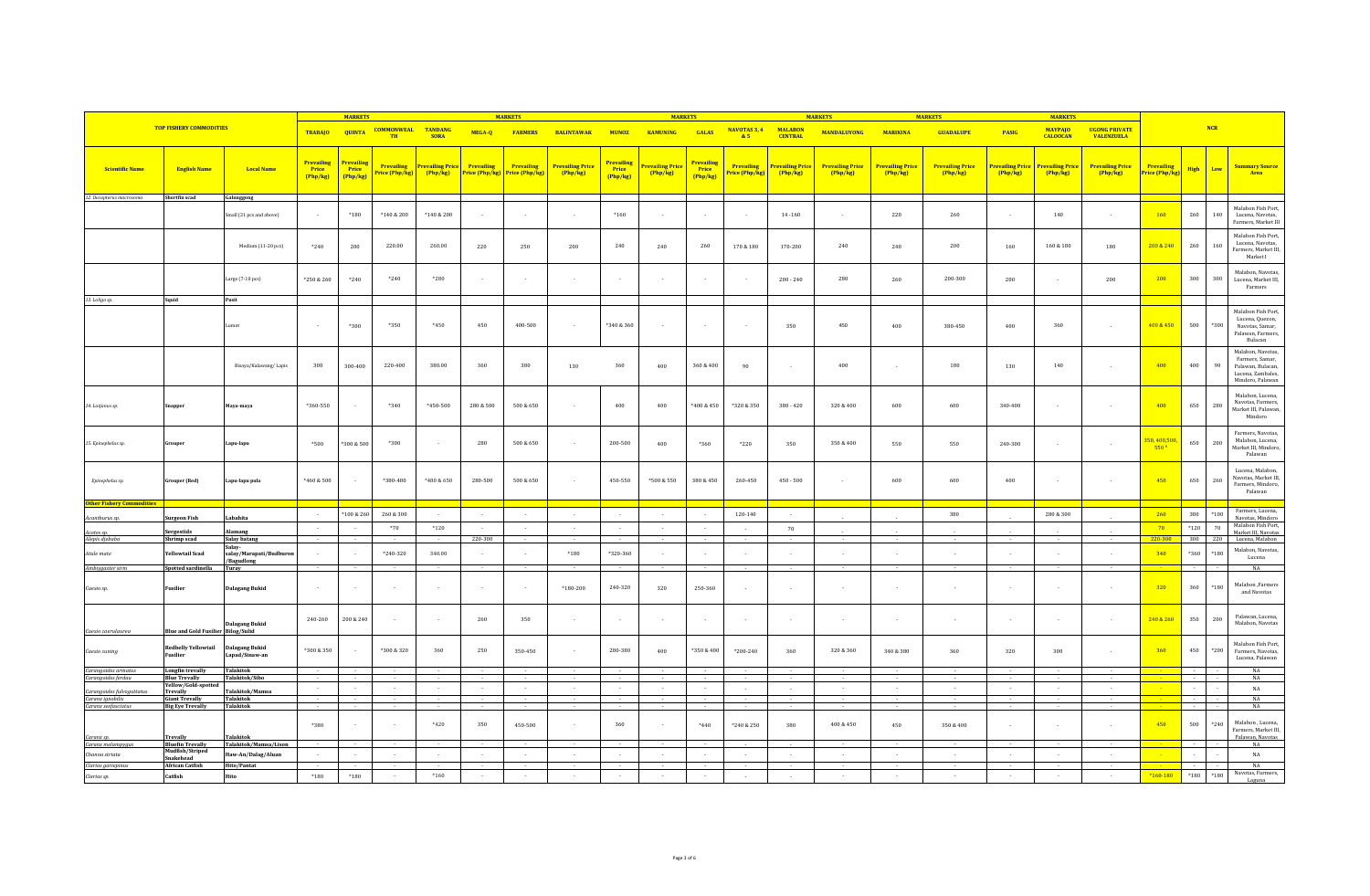|                                           |                                            |                                                 | <b>MARKETS</b>                         |                                        |                                                  |                                   | <b>MARKETS</b>                            |                                     |                                     | <b>MARKETS</b>                         |                              |                                               |                                    | <b>MARKETS</b>                    |                                     | <b>MARKETS</b>                    |                                     | <b>MARKETS</b>                      |                                   |                                            |                                           |                   |         |                                                                                                    |
|-------------------------------------------|--------------------------------------------|-------------------------------------------------|----------------------------------------|----------------------------------------|--------------------------------------------------|-----------------------------------|-------------------------------------------|-------------------------------------|-------------------------------------|----------------------------------------|------------------------------|-----------------------------------------------|------------------------------------|-----------------------------------|-------------------------------------|-----------------------------------|-------------------------------------|-------------------------------------|-----------------------------------|--------------------------------------------|-------------------------------------------|-------------------|---------|----------------------------------------------------------------------------------------------------|
|                                           | <b>TOP FISHERY COMMODITIES</b>             |                                                 | <b>TRABAJO</b>                         | <b>QUINTA</b>                          | <b>COMMONWEAL TANDANG</b><br><b>TH</b>           | <b>SORA</b>                       | MEGA-Q                                    | <b>FARMERS</b>                      | <b>BALINTAWAK</b>                   | <b>MUNOZ</b>                           | <b>KAMUNING</b>              | <b>GALAS</b>                                  | NAVOTAS 3, 4<br>&5                 | <b>MALARON</b><br><b>CENTRAL</b>  | <b>MANDALUYONG</b>                  | <b>MARIKINA</b>                   | <b>GUADALUPE</b>                    | <b>PASIG</b>                        | <b>MAYPAIO</b><br><b>CALOOCAN</b> | <b>IIGONG PRIVATE</b><br><b>VALENZUELA</b> |                                           |                   | NCR     |                                                                                                    |
| <b>Scientific Name</b>                    | <b>English Name</b>                        | <b>Local Name</b>                               | Prevailing<br><b>Price</b><br>[Php/kg] | <b>Prevailing</b><br>Price<br>(Php/kg) | <b>Prevailing</b><br><mark>'rice (Php/kg)</mark> | <b>Prevailing Price</b><br>Php/kg | Prevailing<br><mark>Price (Php/kg)</mark> | <b>Prevailing</b><br>Price (Php/kg) | <b>Prevailing Price</b><br>(Php/kg) | <b>Prevailing</b><br>Price<br>(Php/ke) | Prevailing Price<br>(Php/kg) | <b>Prevailing</b><br><b>Price</b><br>[Php/kg] | <b>Prevailing</b><br>rice (Php/kg) | <b>Prevailing Price</b><br>Php/kg | <b>Prevailing Price</b><br>(Php/kg) | <b>Prevailing Price</b><br>Php/kg | <b>Prevailing Price</b><br>(Php/kg) | <b>Prevailing Price</b><br>(Php/kg) | <b>Prevailing Price</b><br>Php/kg | <b>Prevailing Price</b><br>Php/kg          | Prevailing<br><mark>rice (Php/kg</mark> ) | <b>High</b>       | Low     | <b>Summary Source</b><br>Area                                                                      |
| 12. Decapterus macrosoma                  | Shortfin scad                              | Galunggong                                      |                                        |                                        |                                                  |                                   |                                           |                                     |                                     |                                        |                              |                                               |                                    |                                   |                                     |                                   |                                     |                                     |                                   |                                            |                                           |                   |         |                                                                                                    |
|                                           |                                            | mall (21 pcs and above)                         | $\sim$                                 | $*180$                                 | *140 & 200                                       | *140 & 200                        |                                           | $\sim$                              |                                     | $*160$                                 |                              | $\sim$                                        | $\sim$                             | $14 - 160$                        | $\sim$                              | 220                               | 260                                 |                                     | 140                               |                                            | 160                                       | $260\,$           | 140     | Malabon Fish Port,<br>Lucena, Navotas,<br>Farmers, Market III                                      |
|                                           |                                            | Medium (11-20 pcs)                              | *240                                   | 200                                    | 220.00                                           | 260.00                            | 220                                       | 250                                 | 200                                 | 240                                    | 240                          | 260                                           | $170\,\&\,180$                     | 170-200                           | 240                                 | 240                               | 200                                 | 160                                 | 160 & 180                         | 180                                        | 200 & 240                                 | $260\,$           | 160     | Malabon Fish Port,<br>Lucena, Navotas,<br>Farmers, Market III,<br>Market I                         |
|                                           |                                            | Large $(7-10$ pcs $)$                           | *250 & 260                             | *240                                   | $*240$                                           | $*280$                            |                                           |                                     |                                     |                                        |                              |                                               | $\sim$                             | $200 - 240$                       | 280                                 | 260                               | 200-300                             | 200                                 |                                   | 200                                        | 200                                       | 300               | 300     | Malabon, Navotas.<br>Lucena, Market III,<br>Farmers                                                |
| 13. Loligo sp.                            | Squid                                      | Pusit                                           |                                        |                                        |                                                  |                                   |                                           |                                     |                                     |                                        |                              |                                               |                                    |                                   |                                     |                                   |                                     |                                     |                                   |                                            |                                           |                   |         |                                                                                                    |
|                                           |                                            | ımot                                            |                                        | $*300$                                 | $*350$                                           | $*450$                            | 450                                       | $400 - 500$                         |                                     | *340 & 360                             |                              |                                               |                                    | 350                               | 450                                 | 400                               | 380-450                             | 400                                 | 360                               |                                            | 400 & 450                                 | $500\,$           | *300    | Malabon Fish Port,<br>Lucena, Quezon,<br>Navotas, Samar,<br>Palawan, Farmers.<br>Bulacan           |
|                                           |                                            | Bisaya/Kalawang/Lapis                           | 300                                    | 300-400                                | 220-400                                          | 380.00                            | 360                                       | 380                                 | 130                                 | 360                                    | 400                          | 360 & 400                                     | 90                                 | $\epsilon$                        | 400                                 |                                   | 180                                 | 130                                 | 140                               |                                            | 400                                       | 400               | 90      | Malabon, Navotas,<br>Farmers, Samar,<br>Palawan, Bulacan,<br>Lucena, Zambales,<br>Mindoro, Palawan |
| 14. Lutjanus sp.                          | inappe                                     | Maya-maya                                       | $*360 - 550$                           |                                        | $*340$                                           | *450-500                          | 280 & 500                                 | 500 & 650                           |                                     | 400                                    | 400                          | $*400 & 450$                                  | $^*320\ \&\ 350$                   | $380 - 420$                       | 320 & 400                           | 600                               | 600                                 | 340-400                             |                                   |                                            | 400                                       | 650               | 280     | Malabon, Lucena,<br>Navotas, Farmers,<br>Market III, Palawan,<br>Mindoro                           |
| 15. Epinephelus sp.                       | irouper                                    | Lapu-lapu                                       | *500                                   | 300 & 500                              | *300                                             | $\sim$                            | 280                                       | 500 & 650                           | $\sim$                              | 200-500                                | 400                          | *360                                          | $*220$                             | 350                               | 350 & 400                           | 550                               | 550                                 | 240-300                             |                                   |                                            | 350, 400,500<br>550 3                     | 650               | 200     | Farmers, Navotas,<br>Malabon, Lucena,<br>Market III, Mindoro,<br>Palawan                           |
| Epinephelus sp.                           | irouper (Red)                              | Lapu-lapu pula                                  | *460 & 500                             |                                        | *380-480                                         | *480 & 650                        | 280-500                                   | 500 & 650                           |                                     | 450-550                                | *500 & 550                   | 380 & 450                                     | 260-450                            | $450 - 500$                       | $\sim$                              | 600                               | 600                                 | 400                                 |                                   |                                            | 450                                       | 650               | 260     | Lucena, Malabon<br>Navotas, Market III,<br>Farmers, Mindoro,<br>Palawan                            |
| <b>Other Fishery Commodities</b>          |                                            |                                                 |                                        | *100 & 260                             | 260 & 300                                        |                                   |                                           |                                     |                                     |                                        |                              |                                               | 120-140                            |                                   |                                     |                                   | 380                                 |                                     | 280 & 300                         |                                            | 260                                       | 380               | $*100$  | Farmers, Lucena,                                                                                   |
| Acanthurus sp.                            | iurgeon Fish                               | Labahita                                        | $\sim$                                 |                                        |                                                  | $\sim$                            |                                           | $\sim$                              |                                     | $\sim$                                 |                              |                                               |                                    | $\sim$                            |                                     |                                   |                                     |                                     |                                   |                                            |                                           |                   |         | Navotas, Mindoro<br>Malabon Fish Port,                                                             |
| Acetes sp.                                | Sergestids<br>Shrimp scad                  | lamang<br><b>Salay batang</b>                   | $\sim$                                 |                                        | $*70$                                            | $*120$                            | 220-300                                   | $\sim$<br>$\overline{a}$            |                                     | $\sim$<br>$\sim$                       | $\sim$<br>$\sim$             | $\sim$                                        | $\sim$<br>$\sim$                   | 70                                |                                     |                                   | $\sim$                              |                                     |                                   |                                            | 70<br>220-300                             | $*120$<br>300 220 | 70      | Market III, Navotas<br>Lucena, Malabon                                                             |
| Alepis djebaba<br>Atule mate              | Yellowtail Scad                            | Salay-<br>salay/Marapati/Budburor<br>/Bagudlong | $\sim$                                 |                                        | $*240-320$                                       | 340.00                            |                                           |                                     | $*180$                              | *320-360                               |                              |                                               |                                    |                                   |                                     |                                   |                                     |                                     |                                   |                                            | 340                                       | $*360$            | *180    | Malabon, Navotas.<br>Lucena                                                                        |
| Ambiygaster sirm                          | potted sardinella                          | Turay                                           |                                        |                                        |                                                  |                                   |                                           |                                     |                                     |                                        |                              |                                               |                                    |                                   |                                     |                                   |                                     |                                     |                                   |                                            |                                           |                   |         | NA                                                                                                 |
| Caesio sp.                                | Fusilier                                   | <b>Dalagang Bukid</b>                           | $\sim$                                 |                                        |                                                  | $\sim$                            |                                           |                                     | $*180 - 200$                        | 240-320                                | 320                          | 250-360                                       |                                    |                                   |                                     |                                   |                                     |                                     |                                   |                                            | 320                                       | 360               | $*180$  | Malabon, Farmers<br>and Navotas                                                                    |
| Caesio caerulaurea                        | <b>Blue and Gold Fusilier Bilog/Sulid</b>  | <b>Dalagang Bukid</b>                           | 240-260                                | 200 & 240                              |                                                  | $\sim$                            | 260                                       | 350                                 |                                     | $\sim$                                 |                              |                                               | $\sim$                             |                                   |                                     |                                   |                                     |                                     |                                   |                                            | 240 & 260                                 | 350               | $200\,$ | Palawan, Lucena,<br>Malabon, Navotas                                                               |
| Caesio cuning                             | <b>Redbelly Yellowtail</b><br>Fusilier     | <b>Dalagang Bukid</b><br>Lapad/Sinaw-an         | *300 & 350                             |                                        | *300 & 320                                       | 360                               | 250                                       | 350-450                             |                                     | 280-380                                | 400                          | $*350 & 400$                                  | $*200 - 240$                       | 360                               | 320 & 360                           | 340 & 380                         | 360                                 | 320                                 | 300                               |                                            | 360                                       | 450               | $*200$  | Malabon Fish Port,<br>Farmers, Navotas,<br>Lucena, Palawan                                         |
| Carangoides armatus<br>Carangoides ferdau | Longfin trevally<br><b>Blue Trevally</b>   | Talakitok<br>Talakitok/Sibo                     |                                        |                                        |                                                  |                                   |                                           |                                     |                                     |                                        |                              |                                               |                                    |                                   |                                     |                                   |                                     |                                     |                                   |                                            |                                           |                   |         | NA<br>NA                                                                                           |
| Carangoides fulvoguttatus                 | Yellow/Gold-spottec<br><b>Trevally</b>     | Talakitok/Mamsa                                 |                                        |                                        |                                                  | $\sim$                            |                                           |                                     |                                     | $\sim$                                 |                              |                                               | $\sim$                             | $\sim$                            | n.                                  |                                   | $\sim$                              |                                     |                                   |                                            |                                           |                   |         | NA                                                                                                 |
| Caranx ignobilis                          | <b>Giant Trevally</b>                      | Talakitok                                       |                                        |                                        |                                                  | $\sim$                            |                                           |                                     |                                     | $\sim$                                 |                              |                                               |                                    |                                   |                                     |                                   | $\sim$                              |                                     |                                   | $\ddot{\phantom{a}}$                       |                                           | $\sim$            |         | $_{\rm NA}$                                                                                        |
| Caranx sexfasciatus<br>Caranx sp.         | <b>Big Eye Trevally</b><br><b>Trevally</b> | Talakitok<br><b>Talakitok</b>                   | *380                                   |                                        |                                                  | $*420$                            | 350                                       | 450-500                             |                                     | 360                                    |                              | $*440$                                        | *240 & 250                         | 380                               | 400 & 450                           | 450                               | 350 & 400                           |                                     |                                   | $\sim$                                     | 450                                       | 500               | $*240$  | NA<br>Malabon, Lucena,<br>Farmers, Market III,<br>Palawan, Navotas                                 |
| Caranx melampygus                         | <b>Bluefin Trevally</b><br>Mudfish/Striped | Talakitok/Mamsa/Lison                           |                                        |                                        |                                                  | $\sim$                            |                                           |                                     |                                     | $\sim$                                 |                              |                                               |                                    |                                   |                                     |                                   |                                     |                                     |                                   |                                            |                                           |                   |         | NA                                                                                                 |
| Channa striata                            | Snakehead                                  | Haw-An/Dalag/Aluan                              | $\sim$                                 | $\sim$                                 | $\sim$                                           | $\sim$                            | $\sim$                                    | $\sim$                              | $\sim$                              | $\sim$                                 | $\sim$                       | $\sim$                                        | $\sim$                             | $\sim$                            | $\sim$                              | $\sim$                            | $\sim$                              | $\sim$                              | $\sim$                            | $\sim$                                     |                                           |                   |         | $_{\rm NA}$                                                                                        |
| Clarias gariepinus<br>Clarias sp.         | African Catfish<br>Catfish                 | Hito/Pantat<br>Hito                             | $*180$                                 | $*180$                                 |                                                  | $*160$                            |                                           |                                     |                                     | $\sim$<br>$\sim$                       |                              |                                               | $\mathcal{L}$                      |                                   |                                     |                                   |                                     | $\sim$                              |                                   | $\sim$                                     | $*160 - 180$                              | $*180$            | $*180$  | NA<br>Navotas, Farmers.<br>Laguna                                                                  |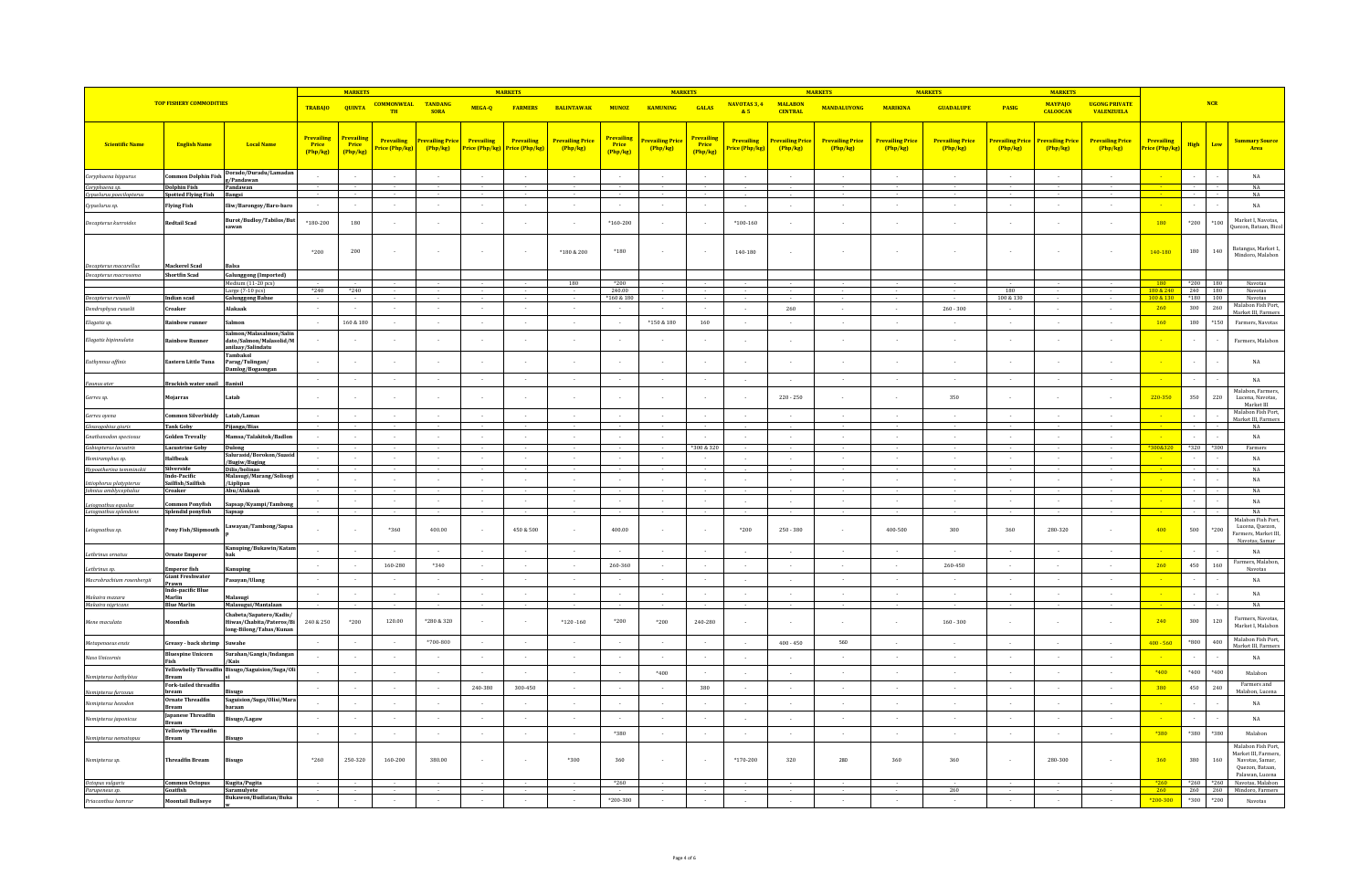|                                                     |                                                   |                                                                                   | <b>MARKETS</b>                         |                                        |                                        |                                   | <b>MARKETS</b>                              |                |                                     | <b>MARKETS</b>                         |                             |                                |                              | <b>MARKETS</b>                         |                                   | <b>MARKETS</b>                          |                                   | <b>MARKET</b>             |                                   |                                           |                                          |                         |                                                                                                    |
|-----------------------------------------------------|---------------------------------------------------|-----------------------------------------------------------------------------------|----------------------------------------|----------------------------------------|----------------------------------------|-----------------------------------|---------------------------------------------|----------------|-------------------------------------|----------------------------------------|-----------------------------|--------------------------------|------------------------------|----------------------------------------|-----------------------------------|-----------------------------------------|-----------------------------------|---------------------------|-----------------------------------|-------------------------------------------|------------------------------------------|-------------------------|----------------------------------------------------------------------------------------------------|
|                                                     | <b>TOP FISHERY COMMODITIES</b>                    |                                                                                   | <b>TRABAJO</b>                         | <b>QUINTA</b>                          | <b>COMMONWEAL TANDANG</b><br><b>TH</b> | <b>SORA</b>                       | MEGA-Q                                      | <b>FARMERS</b> | <b>BALINTAWAK</b>                   |                                        | MUNOZ KAMUNING              | <b>GALAS</b>                   | NAVOTAS 3, 4<br>85           | <b>MALARON</b><br><b>CENTRAL</b>       | <b>MANDALUYONG</b>                | <b>MARIKINA</b>                         | <b>GUADALUPE</b>                  | <b>PASIG</b>              | <b>MAYPAIO</b><br><b>CALOOCAN</b> | <b>HGONG PRIVATE</b><br><b>VALENZUELA</b> |                                          | NCR                     |                                                                                                    |
| <b>Scientific Name</b>                              | <b>English Name</b>                               | <b>Local Name</b>                                                                 | <b>Prevailing</b><br>Price<br>(Php/kg) | <b>Prevailing</b><br>Price<br>(Php/kg) | Prevailing<br>Price (Php/kg)           | <b>Prevailing Price</b><br>Php/kg | Prevailing<br>Price (Php/kg) Price (Php/kg) | Prevailing     | <b>Prevailing Price</b><br>(Php/kg) | <b>Prevailing</b><br>Price<br>(Php/kg) | Prevailing Pric<br>(Php/kg) | Prevailin<br>Price<br>(Php/kg) | Prevailing<br>Price (Php/kg) | <mark>Prevailing Pric</mark><br>Php/kg | <b>Prevailing Price</b><br>Php/kg | <mark>Prevailing Price</mark><br>Php/kg | <b>Prevailing Price</b><br>Php/kg | revailing Price<br>Php/kg | Prevailing Pric<br>(Php/kg)       | <b>Prevailing Price</b><br>(Php/kg)       | Prevailing<br><mark>Price (Php/kg</mark> | <b>High</b><br>Low      | <b>Summary Source</b><br>Area                                                                      |
| Coryphaena hippurus                                 | Common Dolphin Fish                               | Dorado/Duradu/Lamadaı<br>g/Pandawan                                               | $\sim$                                 |                                        | $\sim$                                 | $\sim$                            |                                             | $\sim$         |                                     | $\sim$                                 | $\sim$                      | $\sim$                         | $\sim$                       | $\sim$                                 | $\sim$                            | $\sim$                                  | $\sim$                            | $\sim$                    | $\sim$                            |                                           |                                          |                         | $_{\rm NA}$                                                                                        |
| Coryphaena sp.                                      | <b>Dolphin Fish</b><br><b>Spotted Flying Fish</b> | Pandawan                                                                          |                                        |                                        |                                        |                                   |                                             |                |                                     |                                        |                             |                                |                              |                                        |                                   |                                         |                                   |                           |                                   |                                           |                                          |                         | NA<br>NA                                                                                           |
| Cypselurus poecilopterus<br>Cypselurus sp.          | <b>Flying Fish</b>                                | Bangsi<br>liw/Barongoy/Baro-baro                                                  | $\sim$                                 | $\sim$                                 | $\sim$                                 | $\sim$                            |                                             | $\sim$         |                                     | $\sim$                                 | $\sim$                      | $\sim$                         | $\sim$                       | $\sim$                                 | $\sim$                            | $\sim$                                  | $\sim$                            | $\sim$                    | $\sim$                            |                                           |                                          |                         | $_{\rm NA}$                                                                                        |
| Decapterus kurroides                                | Redtail Scad                                      | Burot/Budloy/Tabilos/But<br>sawan                                                 | $*180 - 200$                           | 180                                    |                                        | $\sim$                            |                                             |                |                                     | $*160 - 200$                           | $\sim$                      |                                | $*100 - 160$                 |                                        | $\sim$                            |                                         |                                   |                           |                                   |                                           | 180                                      | *200<br>$*100$          | Market L Navotas<br>Juezon, Bataan, Bico                                                           |
|                                                     |                                                   |                                                                                   | *200                                   | 200                                    |                                        | $\sim$                            |                                             | $\sim$         | *180 & 200                          | $*180$                                 | $\overline{a}$              |                                | 140-180                      | $\sim$                                 | $\sim$                            |                                         |                                   |                           |                                   | $\sim$                                    | 140-180                                  | 180<br>140              | Batangas, Market 1,<br>Mindoro, Malabon                                                            |
| Decapterus macarellus                               | Mackerel Scad<br>Shortfin Scad                    | <b>Balsa</b>                                                                      |                                        |                                        |                                        |                                   |                                             |                |                                     |                                        |                             |                                |                              |                                        |                                   |                                         |                                   |                           |                                   |                                           |                                          |                         |                                                                                                    |
| Decapterus macrosoma                                |                                                   | <b>Galunggong (Imported)</b><br>Medium (11-20 pcs)                                |                                        |                                        |                                        |                                   |                                             |                | 180                                 | $*200$                                 |                             |                                |                              |                                        |                                   |                                         |                                   |                           |                                   |                                           | 180                                      | *200 180                | Navotas                                                                                            |
| Decapterus russelli                                 | Indian scad                                       | Large (7-10 pcs)<br><b>Galunggong Babae</b>                                       | $*240$                                 | $*240$                                 |                                        |                                   |                                             |                |                                     | 240.00<br>*160 & 180                   |                             |                                |                              |                                        |                                   |                                         |                                   | 180<br>100 & 130          |                                   |                                           | 180 & 240<br>100 & 130                   | 240 180<br>$*180$ 100   | Navotas<br>Navotas                                                                                 |
| Dendrophysa russelii                                | Croaker                                           | lakaak                                                                            | $\sim$                                 |                                        |                                        | $\sim$                            |                                             |                |                                     | $\sim$                                 |                             |                                | $\sim$                       | 260                                    | $\sim$                            | $\sim$                                  | $260 - 300$                       |                           | $\sim$                            | $\sim$                                    | 260                                      | 300                     | Malabon Fish Port,<br>260<br>Market III, Farmers                                                   |
| Elagatis sp.                                        | ainbow runner!                                    | almon                                                                             |                                        | 160 & 180                              |                                        | $\sim$                            |                                             |                |                                     |                                        | $*150 & 180$                | 160                            | $\sim$                       |                                        |                                   |                                         |                                   |                           |                                   |                                           | 160                                      | 180<br>$*150$           | Farmers, Navotas                                                                                   |
| Elagatis bipinnulata                                | ainhow Runner                                     | almon/Malasalmon/Salir<br>lato/Salmon/Malasolid/M<br>anilaay/Salindatu<br>ambakol |                                        |                                        |                                        | $\sim$                            |                                             |                |                                     | $\sim$                                 |                             |                                | $\sim$                       | $\sim$                                 |                                   |                                         |                                   |                           |                                   |                                           |                                          |                         | Farmers, Malabon                                                                                   |
| Euthynnus affinis                                   | Eastern Little Tuna                               | arag/Tulingan/<br>Damlog/Bogaongan                                                |                                        |                                        |                                        |                                   |                                             |                |                                     |                                        |                             |                                |                              |                                        |                                   |                                         |                                   |                           |                                   |                                           |                                          |                         | $_{\rm NA}$                                                                                        |
| Faunus ater                                         | Brackish water snail                              | Banisil                                                                           | $\sim$                                 |                                        | $\sim$                                 | $\sim$                            |                                             | $\sim$         |                                     | $\sim$                                 | $\sim$                      | $\sim$                         | $\sim$                       | $\sim$                                 | $\sim$                            | $\sim$                                  | $\sim$                            | $\sim$                    | $\sim$                            |                                           |                                          |                         | $_{\rm NA}$<br>Malabon, Farmers,                                                                   |
| Gerres sp.                                          | Mojarras                                          | atab                                                                              |                                        |                                        |                                        | $\cdot$                           |                                             |                |                                     |                                        |                             |                                | $\sim$                       | $220 - 250$                            | $\sim$                            | $\sim$                                  | 350                               |                           | $\sim$                            | $\sim$                                    | 220-350                                  | 350<br>220              | Lucena, Navotas,<br>Market III<br>Malabon Fish Port,                                               |
| Gerres ovena                                        | ommon Silverbiddy<br><b>Tank Goby</b>             | Latab/Lamas                                                                       | $\sim$                                 |                                        | $\sim$                                 | $\sim$                            |                                             |                |                                     | $\sim$                                 | $\cdot$                     |                                | $\sim$                       | $\sim$                                 | $\sim$                            | $\sim$                                  | $\sim$                            | $\sim$                    | $\sim$                            | $\sim$                                    |                                          |                         | Market III, Farmers                                                                                |
| Glossogobius giuris<br><b>Gnathanodon</b> speciosus | <b>Golden Trevally</b>                            | ijanga/Bias<br>famsa/Talakitok/Badlon                                             |                                        |                                        |                                        | $\sim$                            |                                             |                |                                     | $\sim$                                 |                             |                                | $\sim$                       | $\sim$                                 |                                   |                                         |                                   |                           |                                   |                                           |                                          |                         | $_{\rm NA}$<br>$_{\rm NA}$                                                                         |
| Gobiopterus lacustris                               | <b>Lacustrine Goby</b>                            | Dulong                                                                            |                                        |                                        |                                        |                                   |                                             |                |                                     |                                        |                             | *300 & 320                     |                              |                                        |                                   |                                         |                                   |                           |                                   |                                           | *300&320                                 | $*320$<br>*300          | Farmers                                                                                            |
| Hemiramphus sp.                                     | Halfbeak                                          | Salurasid/Borokon/Suasi<br>Bugiw/Buging                                           | $\sim$                                 |                                        | $\sim$                                 | $\sim$                            |                                             | $\sim$         |                                     | $\sim$                                 | $\cdot$                     |                                | $\sim$                       | $\sim$                                 | $\sim$                            | $\sim$                                  | $\sim$                            | $\sim$                    | $\sim$                            |                                           |                                          |                         | $_{\rm NA}$                                                                                        |
| Hypoatherina temminckii                             | <b>Silverside</b><br>Indo-Pacific                 | Dilis/bolinao<br>Malasugi/Marang/Solisog                                          |                                        |                                        |                                        |                                   |                                             |                |                                     |                                        |                             |                                |                              |                                        |                                   |                                         |                                   |                           |                                   |                                           |                                          |                         | NA                                                                                                 |
| Istiophorus platypterus                             | Sailfish/Sailfish<br>Croaker                      | Liplipan<br>bu/Alakaak                                                            |                                        |                                        |                                        |                                   |                                             |                |                                     |                                        |                             |                                |                              |                                        |                                   |                                         |                                   |                           |                                   |                                           |                                          |                         | $_{\rm NA}$<br>NA                                                                                  |
| Johnius amblycephalus                               |                                                   |                                                                                   |                                        |                                        |                                        | $\epsilon$                        |                                             |                |                                     | $\sim$                                 |                             |                                |                              |                                        |                                   |                                         | ×                                 |                           |                                   |                                           |                                          |                         | $_{\rm NA}$                                                                                        |
| Leiognathus equulus<br>Leiognathus splendens        | mmon Ponyfish<br>Splendid ponyfish                | šapsap/Kyampi/Tambo<br>Sapsap                                                     |                                        |                                        |                                        | $\sim$                            |                                             |                |                                     | $\sim$                                 |                             |                                |                              |                                        |                                   |                                         |                                   |                           |                                   |                                           |                                          |                         | NA                                                                                                 |
| Leiognathus sp.                                     | Pony Fish/Slipmouth                               | awayan/Tambong/Sapsa                                                              |                                        |                                        | *360                                   | 400.00                            |                                             | 450 & 500      |                                     | 400.00                                 |                             |                                | *200                         | $250 - 380$                            | ÷                                 | 400-500                                 | 300                               | 360                       | 280-320                           |                                           | 400                                      | 500                     | Malabon Fish Port,<br>Lucena, Ouezon.<br>$*200$<br>Farmers, Market III.<br>Navotas, Samar          |
| Lethrinus ornatus                                   | Ornate Emperor                                    | Kanuping/Bukawin/Katar                                                            |                                        |                                        | - 1                                    | $\sim$                            |                                             |                |                                     | $\sim$                                 | $\sim$                      |                                | $\sim$                       |                                        | $\sim$                            | $\sim$                                  | $\sim$                            | $\sim$                    | $\sim$                            |                                           |                                          |                         | NA                                                                                                 |
| Lethrinus sp.                                       | mperor fish                                       |                                                                                   | $\sim$                                 |                                        | 160-280                                | *340                              | $\sim$                                      |                | $\sim$                              | 260-360                                | $\sim$                      |                                | $\sim$                       | $\sim$                                 | $\sim$                            | $\sim$                                  | 260-450                           | $\sim$                    | $\sim$                            | $\sim$                                    | 260                                      | 450<br>160              | Farmers, Malabon<br>Navotas                                                                        |
| Macrobrachium rosenberaii                           | <b>Giant Freshwater</b><br>rawn                   | asayan/Ulang                                                                      | $\sim$                                 |                                        | $\sim$                                 | $\sim$                            | $\sim$                                      |                | $\sim$                              | $\sim$                                 | $\sim$                      |                                | $\sim$                       | $\sim$                                 | $\sim$                            | $\sim$                                  | $\sim$                            | $\sim$                    | $\sim$                            |                                           |                                          |                         | NA                                                                                                 |
| Makaira mazara                                      | Indo-pacific Blue<br>Marlin                       | Malasugi                                                                          | $\sim$                                 |                                        | $\sim$                                 | $\sim$                            |                                             | $\sim$         | $\sim$                              | $\sim$                                 | $\sim$                      |                                | $\sim$                       | $\sim$                                 | $\sim$                            | $\sim$                                  | $\sim$                            | $\sim$                    | $\sim$                            | $\sim$                                    |                                          |                         | $_{\rm NA}$                                                                                        |
| Makaira nigricans<br>Mene maculata                  | Blue Marlin<br>Moonfish                           | Malasugui/Mantalaan<br>habeta/Sapatero/Kadis/<br>Hiwas/Chabita/Pateros/Bi         | 240 & 250                              | $*200$                                 | 120.00                                 | *280 & 320                        |                                             |                | $*120 - 160$                        | $*200$                                 | $*200$                      | 240-280                        |                              |                                        |                                   |                                         | $160 - 300$                       |                           |                                   |                                           | 240                                      | 300<br>120              | NA<br>Farmers, Navotas                                                                             |
| Metapenaeus ensis                                   | Greasy - back shrimp                              | ng-Bilong/Tabas/Kunar<br>nwahe                                                    | $\sim$                                 |                                        | $\sim$                                 | *700-800                          |                                             | $\sim$         | $\sim$                              | $\sim$                                 | $\overline{a}$              |                                | $\sim$                       | $400 - 450$                            | 560                               | $\sim$                                  | $\sim$                            | $\sim$                    | $\sim$                            | $\overline{a}$                            | $400 - 560$                              | $*800$                  | Market I. Malabon<br>Malabon Fish Port,<br>400                                                     |
| Naso Unicornis                                      | Bluespine Unicorn                                 | urahan/Gangis/Indangan                                                            | $\sim$                                 |                                        | $\sim$                                 | $\sim 10^{-1}$                    | $\sim$                                      | $\sim$         | $\sim$                              | $\sim$                                 | $\sim$                      |                                | $\sim$                       | $\sim$                                 | $\sim$                            | $\sim$                                  | $\sim$                            | $\sim$                    | $\sim$                            | $\sim$                                    |                                          |                         | Market III, Farmers<br>NA                                                                          |
|                                                     | Fish<br><b>Yellowbelly Threadfin</b>              | Kais<br>Bisugo/Saguision/Suga/Oli                                                 |                                        |                                        |                                        |                                   |                                             |                |                                     |                                        |                             |                                |                              |                                        |                                   |                                         |                                   |                           |                                   |                                           |                                          |                         |                                                                                                    |
| Nemipterus bathybius                                | Bream                                             |                                                                                   |                                        |                                        |                                        | $\sim$                            |                                             |                |                                     |                                        | $*400$                      |                                |                              |                                        |                                   |                                         | $\sim$                            |                           |                                   |                                           | *400                                     | *400                    | *400<br>Malabon                                                                                    |
| Nemipterus furcosus                                 | Fork-tailed threadfir<br>bream                    | isugo                                                                             | $\sim$                                 |                                        | $\sim$                                 | $\sim 10^{-1}$                    | 240-380                                     | 300-450        |                                     | $\sim$                                 | $\sim$                      | 380                            | $\sim$                       | $\sim$                                 | $\sim$                            |                                         | $\sim$                            | $\sim$                    | $\sim$                            |                                           | 380                                      | 450<br>240              | Farmers and<br>Malabon, Lucena                                                                     |
| Nemipterus hexodon                                  | <b>Ornate Threadfin</b><br>Bream                  | Saguision/Suga/Olisi/Mar<br>paraan                                                |                                        |                                        |                                        | $\sim$                            |                                             |                |                                     | $\sim$                                 |                             |                                | $\sim$                       |                                        |                                   |                                         | $\sim$                            |                           |                                   |                                           |                                          |                         | $_{\rm NA}$                                                                                        |
| Nemipterus japonicus                                | Japanese Threadfin<br>Bream                       | isugo/Lagaw                                                                       | $\sim$                                 |                                        | $\sim$                                 | $\sim$                            |                                             | $\sim$         |                                     | $\sim$                                 | $\sim$                      | $\sim$                         | $\sim$                       | $\sim$                                 | $\sim$                            | $\sim$                                  | $\sim$                            | $\sim$                    | $\sim$                            |                                           |                                          |                         | $_{\rm NA}$                                                                                        |
| Nemipterus nematopus                                | <b>Yellowtip Threadfin</b><br>Bream               | isugo                                                                             | $\sim$                                 |                                        | $\overline{\phantom{a}}$               | $\sim$                            |                                             | $\sim$         |                                     | $*380$                                 | $\sim$                      | $\sim$                         | $\sim$                       | $\sim$                                 | $\sim$                            | $\sim$                                  | $\sim$                            | $\sim$                    | $\sim$                            | $\sim$                                    | *380                                     | $^{\ast}380$<br>$*380$  | Malabon                                                                                            |
| Nemipterus sp.                                      | Threadfin Bream                                   | isugo                                                                             | $*260$                                 | 250-320                                | 160-200                                | 380.00                            |                                             |                | *300                                | 360                                    |                             |                                | $*170 - 200$                 | 320                                    | 280                               | 360                                     | 360                               |                           | 280-300                           |                                           | 360                                      | 380<br>160              | Malabon Fish Port.<br>Market III. Farmers<br>Navotas, Samar,<br>Quezon, Bataan,<br>Palawan, Lucena |
| Octopus vulgaris                                    | <b>Common Octopus</b>                             | Kugita/Pugita                                                                     |                                        |                                        |                                        |                                   |                                             |                |                                     | $*260$                                 |                             |                                |                              |                                        |                                   |                                         |                                   |                           |                                   |                                           | $*260$                                   | $*260$ $*260$           | Navotas, Malabon                                                                                   |
| Parupeneus sp.<br>Priacanthus hamrur                | Goatfish<br><b>Moontail Bullseye</b>              | Saramulyete<br>ukawon/Budlatan/Buka                                               |                                        |                                        |                                        |                                   |                                             |                |                                     | *200-300                               |                             |                                |                              |                                        |                                   |                                         | 260                               |                           |                                   |                                           | 260<br>$*200 - 300$                      | 260 260<br>*300<br>*200 | Mindoro, Farmers<br>Navotas                                                                        |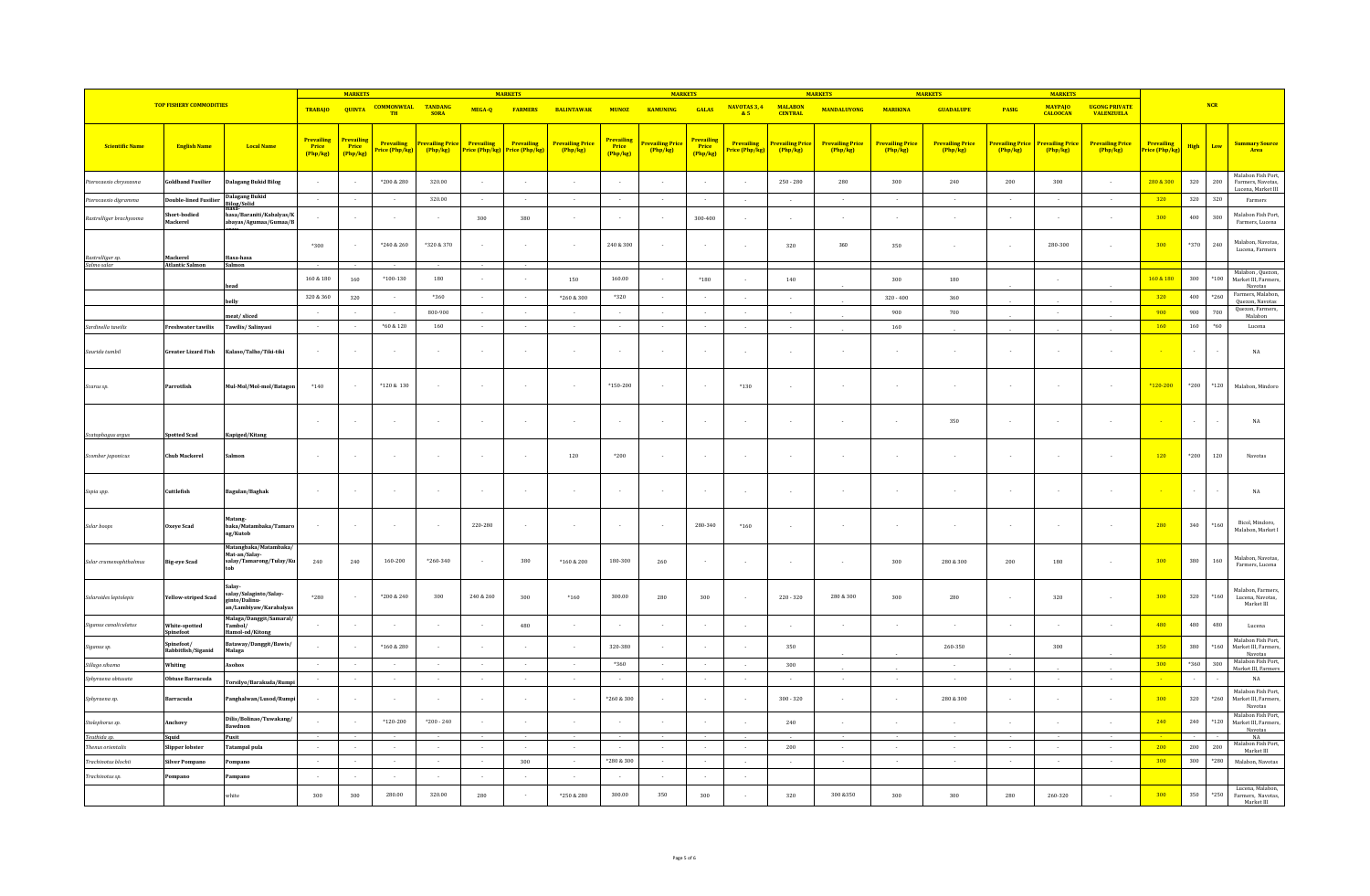|                                   |                                  |                                                                            |                                        | <b>MARKETS</b>                  |                                     |                               |                              | <b>MARKETS</b>               |                                     |                                        | <b>MARKETS</b>                            |                                 |                                           |                                           | <b>MARKETS</b>                      |                                         | <b>MARKETS</b>                    |                           | <b>MARKETS</b>                    |                                            |                              |         |            |                                                       |
|-----------------------------------|----------------------------------|----------------------------------------------------------------------------|----------------------------------------|---------------------------------|-------------------------------------|-------------------------------|------------------------------|------------------------------|-------------------------------------|----------------------------------------|-------------------------------------------|---------------------------------|-------------------------------------------|-------------------------------------------|-------------------------------------|-----------------------------------------|-----------------------------------|---------------------------|-----------------------------------|--------------------------------------------|------------------------------|---------|------------|-------------------------------------------------------|
|                                   | <b>TOP FISHERY COMMODITIES</b>   |                                                                            | <b>TRABAJO</b>                         | <b>QUINTA</b>                   | <b>COMMONWEAL</b><br>TH             | <b>TANDANG</b><br><b>SORA</b> | MEGA-Q                       | <b>FARMERS</b>               | <b>BALINTAWAK</b>                   | <b>MUNOZ</b>                           | <b>KAMUNING</b>                           | <b>GALAS</b>                    | NAVOTAS 3, 4<br>&5                        | <b>MALARON</b><br><b>CENTRAL</b>          | <b>MANDALUYONG</b>                  | <b>MARIKINA</b>                         | <b>GUADALUPE</b>                  | PASIG                     | <b>MAYPAIO</b><br><b>CALOOCAN</b> | <b>HIGONG PRIVATE</b><br><b>VALENZUELA</b> |                              |         | <b>NCR</b> |                                                       |
| <b>Scientific Name</b>            | <b>English Name</b>              | <b>Local Name</b>                                                          | <b>Prevailing</b><br>Price<br>(Php/kg) | Prevailing<br>Price<br>(Php/kg) | <b>Prevailing</b><br>Price (Php/kg) | Prevailing Price<br>Php/kg    | Prevailing<br>Price (Php/kg) | Prevailing<br>Price (Php/kg) | <b>Prevailing Price</b><br>(Php/kg) | <b>Prevailing</b><br>Price<br>(Php/ke) | <mark>Prevailing Price</mark><br>(Php/kg) | Prevailing<br>Price<br>(Php/kg) | Prevailing<br><mark>'rice (Php/kg)</mark> | <mark>Prevailing Price</mark><br>(Php/kg) | <b>Prevailing Price</b><br>(Php/kg) | <mark>Prevailing Price</mark><br>Php/kg | <b>Prevailing Price</b><br>Php/kg | revailing Price<br>Php/kg | Prevailing Price<br>(Php/kg)      | <b>Prevailing Price</b><br>Php/kg          | Prevailing<br>Price (Php/kg) | High    | Low        | <mark>Summary Source</mark><br>Area                   |
|                                   |                                  |                                                                            |                                        |                                 |                                     |                               |                              |                              |                                     |                                        |                                           |                                 |                                           |                                           |                                     |                                         |                                   |                           |                                   |                                            |                              |         |            |                                                       |
| terocaesio chrysozona             | oldband Fusilier                 | Jalagang Bukid Bilog                                                       | $\sim$                                 |                                 | *200 & 280                          | 320.00                        |                              |                              |                                     |                                        |                                           |                                 | $\sim$                                    | $250 - 280$                               | 280                                 | 300                                     | 240                               | 200                       | 300                               |                                            | 280 & 300                    | 320     | $200\,$    | Malabon Fish Port,<br>Farmers, Navotas,               |
| terocaesio digramma               | <b>Double-lined Fusilie</b>      | Dalagang Bukid                                                             | $\sim$                                 | $\sim$                          | $\sim$                              | 320.00                        | $\sim$                       | $\sim$                       | $\sim$                              | $\sim$                                 | $\sim 10^{-1}$                            | $\sim$                          | $\sim$                                    | $\sim$                                    | $\sim$                              | $\sim$                                  | $\sim$                            | $\sim$                    | $\sim$                            | $\sim$                                     | 320                          | 320     | 320        | Lucena, Market III<br>Farmers                         |
| Rastrelliger brachysoma           | Short-bodied<br>Mackerel         | <b>Bilog/Solid</b><br>iasa/Baraniti/Kabalyas/K<br>abayas/Agumaa/Gumaa/B    |                                        |                                 |                                     |                               | 300                          | 380                          |                                     |                                        |                                           | 300-400                         |                                           |                                           |                                     |                                         |                                   |                           |                                   |                                            | 300                          | 400     | 300        | Malabon Fish Port,<br>Farmers, Lucena                 |
|                                   |                                  |                                                                            |                                        |                                 |                                     |                               |                              |                              |                                     |                                        |                                           |                                 |                                           |                                           |                                     |                                         |                                   |                           |                                   |                                            |                              |         |            |                                                       |
| Rastrelliger sp.                  | Mackerel                         | Hasa-hasa                                                                  | *300                                   |                                 | *240 & 260                          | *320 & 370                    |                              |                              |                                     | 240 & 300                              | $\sim$                                    | $\sim$                          | $\sim$                                    | 320                                       | 360                                 | 350                                     | ÷                                 |                           | 280-300                           |                                            | 300                          | *370    | 240        | Malabon, Navotas,<br>Lucena, Farmers                  |
| Salmo salar                       | <b>Atlantic Salmon</b>           | Salmon                                                                     |                                        |                                 |                                     |                               |                              |                              |                                     |                                        |                                           |                                 |                                           |                                           |                                     |                                         |                                   |                           |                                   |                                            |                              |         |            |                                                       |
|                                   |                                  | head                                                                       | $160\text{ }\&\text{ }180$             | 160                             | $*100-130$                          | 180                           |                              | $\sim$                       | 150                                 | 160.00                                 |                                           | *180                            | $\sim$                                    | 140                                       |                                     | 300                                     | 180                               |                           |                                   |                                            | 160 & 180                    | 300     | $*100$     | Malabon, Quezon,<br>Market III, Farmers,<br>Navotas   |
|                                   |                                  | belly                                                                      | 320 & 360                              | 320                             | $\sim$                              | *360                          | $\sim$                       | $\sim$                       | *260 & 300                          | *320                                   | $\sim$                                    | $\sim$                          | $\sim$                                    | $\sim$                                    |                                     | $320 - 400$                             | 360                               |                           |                                   |                                            | 320                          | 400     | $*260$     | Farmers, Malabon,<br>Quezon, Navotas                  |
|                                   |                                  | eat/sliced                                                                 | $\sim$                                 | $\sim$                          | $\sim$                              | 800-900                       | $\sim$                       | $\sim$                       | $\sim$                              | $\sim 10$                              | $\sim 10^{-1}$                            | $\sim$                          | $\sim$                                    | $\sim$                                    |                                     | 900                                     | 700                               |                           | $\sim$                            |                                            | 900                          | 900     | 700        | Quezon, Farmers,<br>Malabon                           |
| Sardinella tawilis                | <b>Freshwater tawilis</b>        | Tawilis/Salinyasi                                                          | $\sim$                                 |                                 | *60 & 120                           | 160                           | $\sim$                       | $\sim$                       | $\sim$                              | $\sim$                                 | $\sim$                                    |                                 | $\sim$                                    | $\sim$                                    |                                     | 160                                     |                                   |                           |                                   |                                            | 160                          | $160\,$ | $*60$      | Lucena                                                |
| Saurida tumbil                    | Greater Lizard Fish              | Kalaso/Talho/Tiki-tiki                                                     | $\sim$                                 |                                 | $\sim$                              | $\sim$                        |                              | $\sim$                       | $\sim$                              | $\sim$                                 | $\sim$                                    | $\sim$                          | $\sim$                                    | $\sim$                                    |                                     |                                         | $\sim$                            |                           |                                   |                                            |                              | $\sim$  |            | $_{\rm NA}$                                           |
| Scarus sp.                        | Parrotfish                       | Mul-Mol/Mol-mol/Batagon                                                    | $*140$                                 |                                 | *120 & 130                          | $\sim$                        |                              |                              |                                     | $*150 - 200$                           |                                           |                                 | $*130$                                    | $\sim$                                    |                                     |                                         |                                   |                           |                                   |                                            | *120-200                     | $*200$  | $*120$     | Malabon, Mindoro                                      |
|                                   |                                  |                                                                            | n.                                     |                                 |                                     | $\sim$                        |                              |                              |                                     | - 1                                    | $\sim$                                    |                                 | $\sim$                                    | in 19                                     | ÷.                                  |                                         | 350                               |                           |                                   |                                            |                              |         |            | $_{\rm NA}$                                           |
| Scatophagus argus                 | <b>potted Scad</b>               | Kapiged/Kitang                                                             |                                        |                                 |                                     |                               |                              |                              |                                     |                                        |                                           |                                 |                                           |                                           |                                     |                                         |                                   |                           |                                   |                                            |                              |         |            |                                                       |
| Scomber japonicus                 | <b>Chub Mackerel</b>             | Salmor                                                                     | $\sim$                                 |                                 | $\sim$                              | $\epsilon$                    |                              |                              | 120                                 | $*200$                                 | $\sim$                                    | $\sim$                          | $\sim$                                    | $\sim$                                    |                                     |                                         |                                   |                           |                                   | $\sim$                                     | 120                          | *200    | 120        | Navotas                                               |
| Sepia spp.                        | Cuttlefish                       | Bagulan/Baghak                                                             |                                        |                                 |                                     | $\sim$                        |                              |                              |                                     |                                        |                                           |                                 | $\sim$                                    |                                           |                                     |                                         |                                   |                           |                                   |                                            |                              |         |            | $_{\rm NA}$                                           |
| Selar boops                       | <b>Oxeye Scad</b>                | Matang-<br>baka/Matambaka/Tamaro<br>ng/Kutob                               | ÷.                                     |                                 | $\sim$                              | $\sim$                        | 220-280                      |                              |                                     | $\sim$                                 | $\sim$                                    | 280-340                         | *160                                      | $\sim$                                    | $\sim$                              |                                         | $\sim$                            |                           |                                   |                                            | 280                          | 340     | $*160$     | Bicol, Mindoro,<br>Malabon, Market I                  |
| Selar crumenophthalmus            | <b>Big-eye Scad</b>              | Matangbaka/Matambaka.<br>Mat-an/Salav-<br>salay/Tamarong/Tulay/Ku          | 240                                    | 240                             | 160-200                             | $*260 - 340$                  | $\sim$                       | 380                          | $*160 & 200$                        | 180-300                                | 260                                       | $\sim$                          | $\sim$                                    | $\sim$                                    | $\sim$                              | 300                                     | 280 & 300                         | 200                       | 180                               |                                            | 300                          | 380     | 160        | Malabon, Navotas,<br>Farmers, Lucena                  |
| Selaroides leptolepis             | <b>Yellow-striped Scad</b>       | Salay-<br>salay/Salaginto/Salay-<br>ginto/Dalinu-<br>an/Lambivaw/Karabalva | $*280$                                 |                                 | *200 & 240                          | 300                           | 240 & 260                    | 300                          | $*160$                              | 300.00                                 | 280                                       | 300                             | $\sim$                                    | $220 - 320$                               | 280 & 300                           | 300                                     | 280                               |                           | 320                               |                                            | 300                          | 320     | $*160$     | Malabon, Farmers,<br>Lucena, Navotas,<br>Market III   |
| Siganus canaliculatus             | White-spotted<br>Spinefoot       | Malaga/Danggit/Samaral/<br>Tambol/<br>Hamol-od/Kito                        |                                        |                                 |                                     |                               |                              | 480                          |                                     |                                        |                                           |                                 |                                           |                                           |                                     |                                         |                                   |                           |                                   |                                            | 480                          | $480\,$ | 480        | Lucena                                                |
| Siganus sp.                       | Sninefoot/<br>Rabbitfish/Siganid | Bataway/Danggit/Bawis/<br>Malaga                                           |                                        |                                 | *160 & 280                          | $\sim$                        | ÷                            |                              | $\sim$                              | 320-380                                | $\sim$                                    |                                 | $\sim$                                    | 350                                       |                                     |                                         | $260 - 350$                       |                           | $300\,$                           |                                            | 350                          | 380     | $*160$     | Malabon Fish Port,<br>Market III, Farmers,            |
| Sillago sihama                    | Whiting                          | Asohos                                                                     | $\sim$                                 |                                 | $\sim$                              | $\sim$                        | $\sim$                       | $\sim$                       | $\sim$                              | $*360$                                 | $\sim$                                    |                                 | $\sim$                                    | 300                                       |                                     |                                         | $\sim$                            |                           |                                   |                                            | 300                          | *360    | 300        | Navotas<br>Malabon Fish Port,<br>Market III, Farmers  |
| Sphyraena obtusata                | <b>Obtuse Barracuda</b>          | Torsilyo/Barakuda/Rump                                                     | $\sim$                                 | $\sim$                          | $\sim$                              | $\sim$                        | $\sim$                       | $\sim$                       | $\sim$                              | $\sim$                                 | $\sim$                                    | $\sim$                          | $\sim$                                    | $\sim$                                    | $\sim$                              | $\sim$                                  | $\sim$                            | $\sim$                    | $\sim$                            | $\sim$                                     |                              |         |            | NA                                                    |
| Sphyraena sp.                     | Barracuda                        | anghalwan/Lusod/Rum                                                        |                                        |                                 |                                     | $\sim$                        |                              |                              |                                     | *260 & 300                             | $\sim$                                    |                                 | $\sim$                                    | $300 - 320$                               |                                     |                                         | 280 & 300                         |                           |                                   |                                            | 300                          | 320     | *260       | Malabon Fish Port,<br>Market III. Farmers.<br>Navotas |
| Stolephorus sp.                   | Anchovy                          | Dilis/Bolinao/Tuwakang/<br>Bawdnon                                         |                                        |                                 | $*120 - 200$                        | $*200 - 240$                  |                              |                              |                                     |                                        |                                           |                                 | $\sim$                                    | 240                                       | $\sim$                              |                                         |                                   |                           |                                   |                                            | 240                          | 240     | $*120$     | Malabon Fish Port,<br>Market III, Farmers,<br>Navotas |
| Teuthida sp.<br>Thenus orientalis | Squid<br>Slipper lobster         | Pusit<br><b>Tatampal pula</b>                                              | $\sim$                                 | $\sim$                          | $\sim$                              | $\sim$                        | $\sim$                       |                              | $\sim$                              | $\sim$                                 | $\sim$                                    |                                 |                                           | 200                                       |                                     |                                         | $\sim$                            |                           |                                   |                                            | 200                          | 200     | 200        | NA<br>Malabon Fish Port.                              |
| Trachinotus blochii               |                                  |                                                                            | $\sim$                                 |                                 | $\sim$                              | $\sim$                        | $\sim$                       | 300                          | $\sim$                              | *280 & 300                             | $\sim$                                    | $\sim$                          | $\sim$                                    | $\sim$                                    | $\sim$ 10 $\sim$                    | $\sim$                                  | $\sim$                            | $\sim$                    | $\sim$                            | $\sim$                                     | 300                          | 300     | *280       | Market III<br>Malabon, Navotas                        |
|                                   | <b>Silver Pompano</b>            | ompano                                                                     |                                        |                                 |                                     | $\sim$                        |                              |                              |                                     |                                        |                                           |                                 |                                           |                                           |                                     |                                         |                                   |                           |                                   |                                            |                              |         |            |                                                       |
| Trachinotus sp.                   | 'ompano                          | ampano<br>white                                                            | 300                                    | 300                             | 280.00                              | 320.00                        | 280                          |                              | *250 & 280                          | 300.00                                 | 350                                       | 300                             |                                           | 320                                       | 300 & 350                           | 300                                     | 300                               | 280                       | 260-320                           |                                            | 300                          | 350     | $*250$     | Lucena, Malabon,<br>Farmers, Navotas,                 |
|                                   |                                  |                                                                            |                                        |                                 |                                     |                               |                              |                              |                                     |                                        |                                           |                                 |                                           |                                           |                                     |                                         |                                   |                           |                                   |                                            |                              |         |            | Market III                                            |